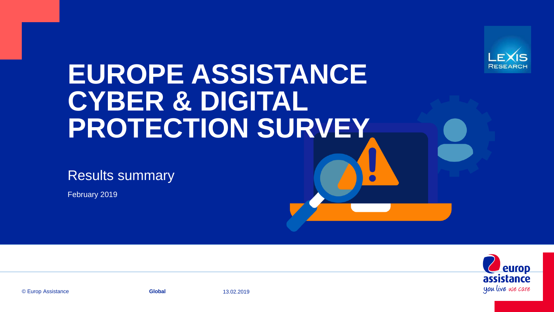

# **EUROPE ASSISTANCE CYBER & DIGITAL PROTECTION SURVEY**

Results summary

February 2019



© Europ Assistance **Global** 13.02.2019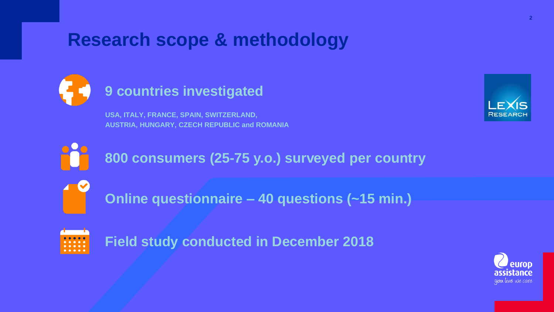# **Research scope & methodology**



## **9 countries investigated**

**USA, ITALY, FRANCE, SPAIN, SWITZERLAND, AUSTRIA, HUNGARY, CZECH REPUBLIC and ROMANIA**





**800 consumers (25-75 y.o.) surveyed per country**



**Online questionnaire – 40 questions (~15 min.)**



**Field study conducted in December 2018**

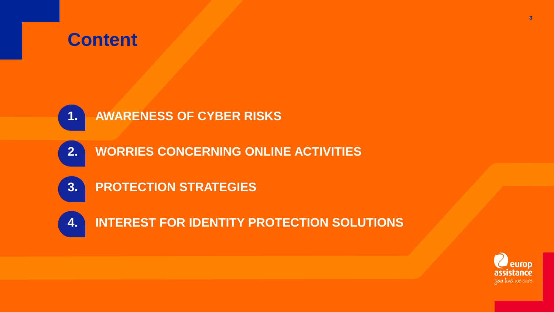## **Content**



- **2. WORRIES CONCERNING ONLINE ACTIVITIES**
- **3. PROTECTION STRATEGIES**
- **4. INTEREST FOR IDENTITY PROTECTION SOLUTIONS**

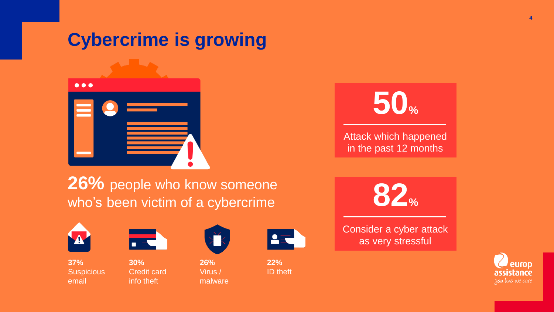# **Cybercrime is growing**





Attack which happened in the past 12 months

26% people who know someone who's been victim of a cybercrime



**37% Suspicious** email



**30%**  Credit card info theft



**26%**  Virus / malware



**22%**  ID theft



Consider a cyber attack as very stressful

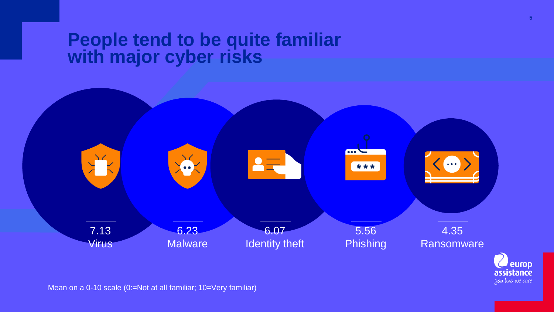### **People tend to be quite familiar with major cyber risks**



Mean on a 0-10 scale (0:=Not at all familiar; 10=Very familiar)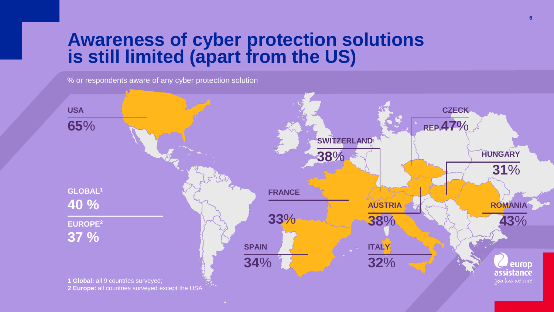## **Awareness of cyber protection solutions is still limited (apart from the US)**

% or respondents aware of any cyber protection solution

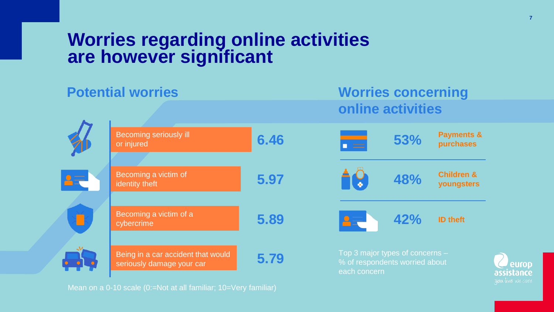### **Worries regarding online activities are however significant**



Mean on a 0-10 scale (0:=Not at all familiar; 10=Very familiar)

euron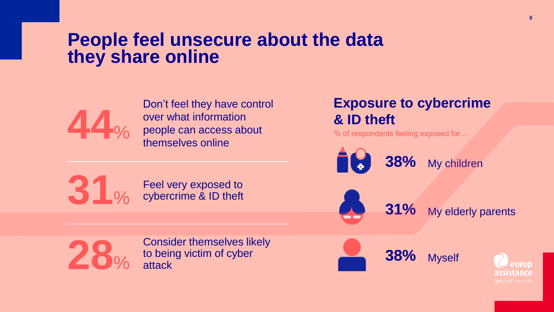### **People feel unsecure about the data they share online**



Don't feel they have control over what information people can access about themselves online

#### Feel very exposed to cybercrime & ID theft

### **Exposure to cybercrime & ID theft**

% of respondents feeling exposed for…

**38%** My children

**31%** My elderly parents



**31**%

Consider themselves likely to being victim of cyber attack



**38%** Myself

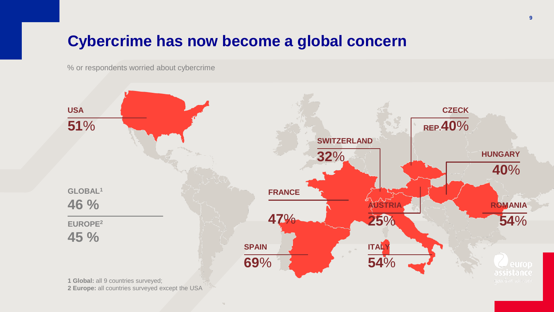### **Cybercrime has now become a global concern**

% or respondents worried about cybercrime



**2 Europe:** all countries surveyed except the USA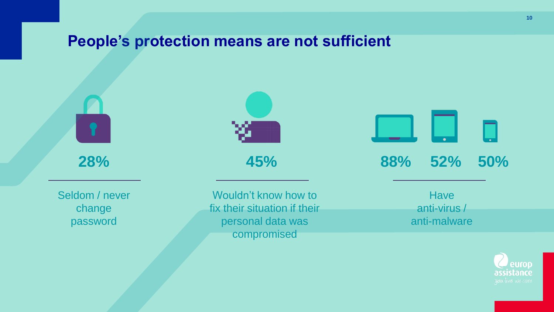### **People's protection means are not sufficient**

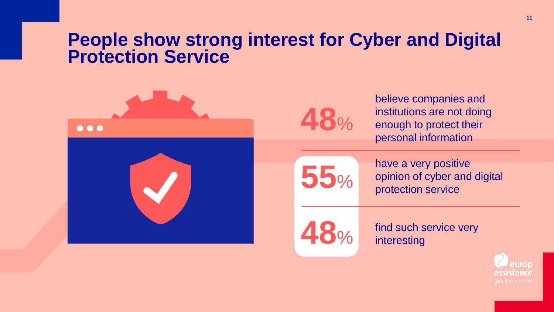### **People show strong interest for Cyber and Digital Protection Service**



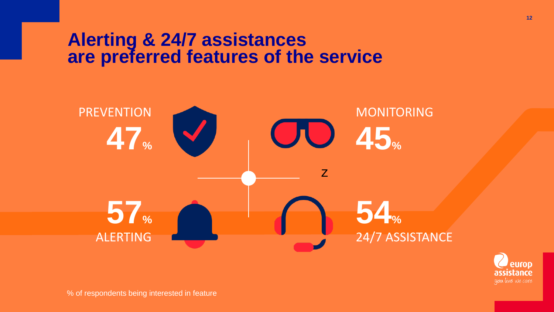### **Alerting & 24/7 assistances are preferred features of the service**



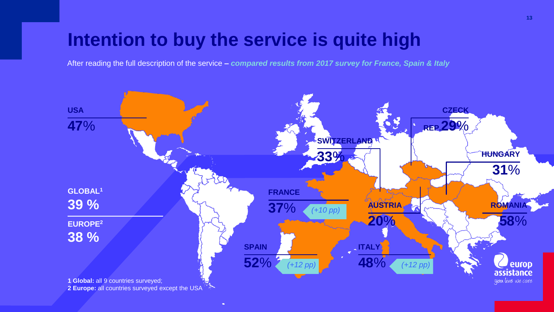# **Intention to buy the service is quite high**

After reading the full description of the service *– compared results from 2017 survey for France, Spain & Italy*

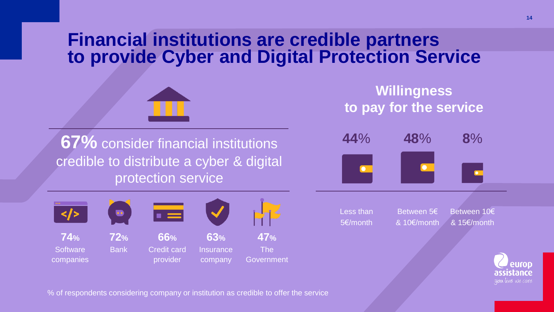## **Financial institutions are credible partners to provide Cyber and Digital Protection Service**



**67%** consider financial institutions credible to distribute a cyber & digital protection service



**Willingness to pay for the service**



Less than 5€/month

Between 5€ & 10€/month

Between 10€ & 15€/month



% of respondents considering company or institution as credible to offer the service